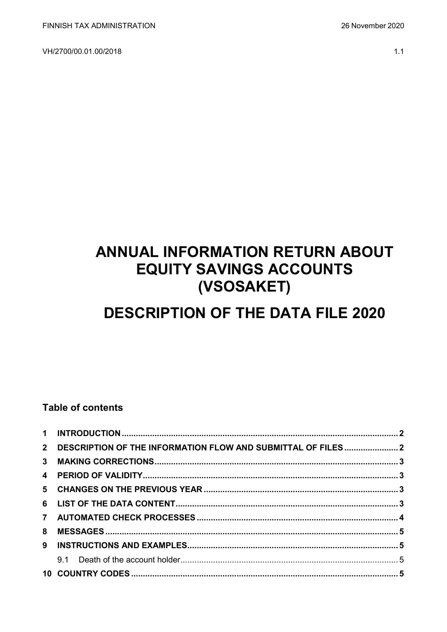VH/2700/00.01.00/2018

#### $1.1$

# **ANNUAL INFORMATION RETURN ABOUT EQUITY SAVINGS ACCOUNTS** (VSOSAKET)

# **DESCRIPTION OF THE DATA FILE 2020**

## **Table of contents**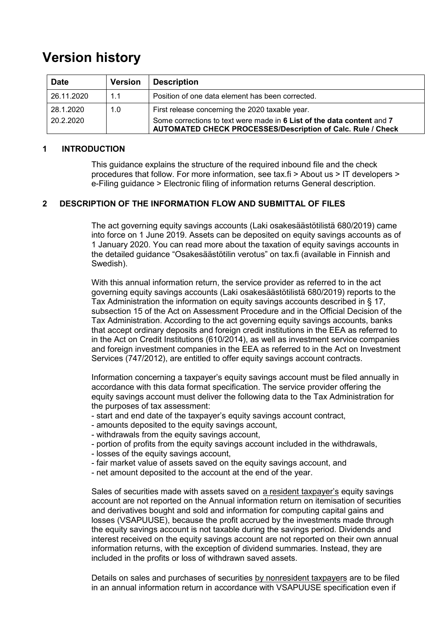# **Version history**

| <b>Date</b> | <b>Version</b> | <b>Description</b>                                                                                                                           |
|-------------|----------------|----------------------------------------------------------------------------------------------------------------------------------------------|
| 26.11.2020  | 1.1            | Position of one data element has been corrected.                                                                                             |
| 28.1.2020   | 1.0            | First release concerning the 2020 taxable year.                                                                                              |
| 20.2.2020   |                | Some corrections to text were made in 6 List of the data content and 7<br><b>AUTOMATED CHECK PROCESSES/Description of Calc. Rule / Check</b> |

#### <span id="page-1-0"></span>**1 INTRODUCTION**

This guidance explains the structure of the required inbound file and the check procedures that follow. For more information, see tax.fi > About us > IT developers > e-Filing guidance > Electronic filing of information returns General description.

#### <span id="page-1-1"></span>**2 DESCRIPTION OF THE INFORMATION FLOW AND SUBMITTAL OF FILES**

The act governing equity savings accounts (Laki osakesäästötilistä 680/2019) came into force on 1 June 2019. Assets can be deposited on equity savings accounts as of 1 January 2020. You can read more about the taxation of equity savings accounts in the detailed guidance "Osakesäästötilin verotus" on tax.fi (available in Finnish and Swedish).

With this annual information return, the service provider as referred to in the act governing equity savings accounts (Laki osakesäästötilistä 680/2019) reports to the Tax Administration the information on equity savings accounts described in § 17, subsection 15 of the Act on Assessment Procedure and in the Official Decision of the Tax Administration. According to the act governing equity savings accounts, banks that accept ordinary deposits and foreign credit institutions in the EEA as referred to in the Act on Credit Institutions (610/2014), as well as investment service companies and foreign investment companies in the EEA as referred to in the Act on Investment Services (747/2012), are entitled to offer equity savings account contracts.

Information concerning a taxpayer's equity savings account must be filed annually in accordance with this data format specification. The service provider offering the equity savings account must deliver the following data to the Tax Administration for the purposes of tax assessment:

- start and end date of the taxpayer's equity savings account contract,
- amounts deposited to the equity savings account,
- withdrawals from the equity savings account,
- portion of profits from the equity savings account included in the withdrawals,
- losses of the equity savings account,
- fair market value of assets saved on the equity savings account, and
- net amount deposited to the account at the end of the year.

Sales of securities made with assets saved on a resident taxpayer's equity savings account are not reported on the Annual information return on itemisation of securities and derivatives bought and sold and information for computing capital gains and losses (VSAPUUSE), because the profit accrued by the investments made through the equity savings account is not taxable during the savings period. Dividends and interest received on the equity savings account are not reported on their own annual information returns, with the exception of dividend summaries. Instead, they are included in the profits or loss of withdrawn saved assets.

Details on sales and purchases of securities by nonresident taxpayers are to be filed in an annual information return in accordance with VSAPUUSE specification even if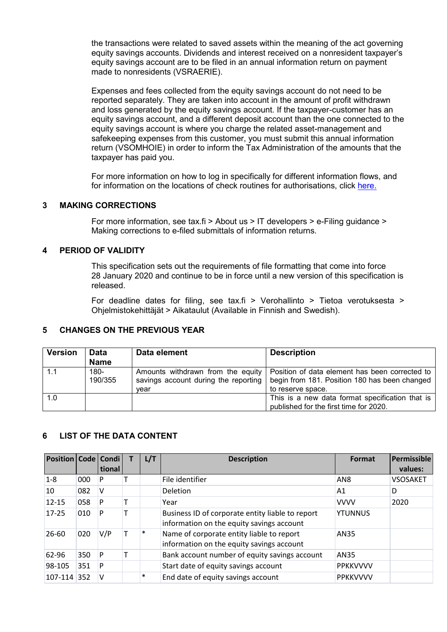the transactions were related to saved assets within the meaning of the act governing equity savings accounts. Dividends and interest received on a nonresident taxpayer's equity savings account are to be filed in an annual information return on payment made to nonresidents (VSRAERIE).

Expenses and fees collected from the equity savings account do not need to be reported separately. They are taken into account in the amount of profit withdrawn and loss generated by the equity savings account. If the taxpayer-customer has an equity savings account, and a different deposit account than the one connected to the equity savings account is where you charge the related asset-management and safekeeping expenses from this customer, you must submit this annual information return (VSOMHOIE) in order to inform the Tax Administration of the amounts that the taxpayer has paid you.

For more information on how to log in specifically for different information flows, and for information on the locations of check routines for authorisations, click [here.](https://www.ilmoitin.fi/webtamo/sivut/IlmoituslajiRoolit?kieli=en&tv=VSOSAKET)

#### <span id="page-2-0"></span>**3 MAKING CORRECTIONS**

For more information, see tax.fi > About us > IT developers > e-Filing guidance > Making corrections to e-filed submittals of information returns.

#### <span id="page-2-1"></span>**4 PERIOD OF VALIDITY**

This specification sets out the requirements of file formatting that come into force 28 January 2020 and continue to be in force until a new version of this specification is released.

For deadline dates for filing, see tax.fi > Verohallinto > Tietoa verotuksesta > Ohjelmistokehittäjät > Aikataulut (Available in Finnish and Swedish).

#### <span id="page-2-2"></span>**5 CHANGES ON THE PREVIOUS YEAR**

| <b>Version</b> | <b>Data</b><br><b>Name</b> | Data element                                                                      | <b>Description</b>                                                                                                   |
|----------------|----------------------------|-----------------------------------------------------------------------------------|----------------------------------------------------------------------------------------------------------------------|
| 1.1            | 180-<br>190/355            | Amounts withdrawn from the equity<br>savings account during the reporting<br>vear | Position of data element has been corrected to<br>begin from 181. Position 180 has been changed<br>to reserve space. |
| 1.0            |                            |                                                                                   | This is a new data format specification that is<br>published for the first time for 2020.                            |

#### <span id="page-2-3"></span>**6 LIST OF THE DATA CONTENT**

| <b>Position   Code   Condi  </b> |     | tional | L/T    | <b>Description</b>                                                                            | Format          | Permissible<br>values: |
|----------------------------------|-----|--------|--------|-----------------------------------------------------------------------------------------------|-----------------|------------------------|
| $1-8$                            | 000 | P      |        | File identifier                                                                               | AN <sub>8</sub> | <b>VSOSAKET</b>        |
| 10                               | 082 | v      |        | <b>Deletion</b>                                                                               | A <sub>1</sub>  | D                      |
| $12 - 15$                        | 058 | P      |        | Year                                                                                          | <b>VVVV</b>     | 2020                   |
| $17 - 25$                        | 010 | P      |        | Business ID of corporate entity liable to report<br>information on the equity savings account | <b>YTUNNUS</b>  |                        |
| $26 - 60$                        | 020 | V/P    | $\ast$ | Name of corporate entity liable to report<br>information on the equity savings account        | AN35            |                        |
| 62-96                            | 350 | P      |        | Bank account number of equity savings account                                                 | AN35            |                        |
| 98-105                           | 351 | P      |        | Start date of equity savings account                                                          | <b>PPKKVVVV</b> |                        |
| 107-114 352                      |     | v      | $\ast$ | End date of equity savings account                                                            | <b>PPKKVVVV</b> |                        |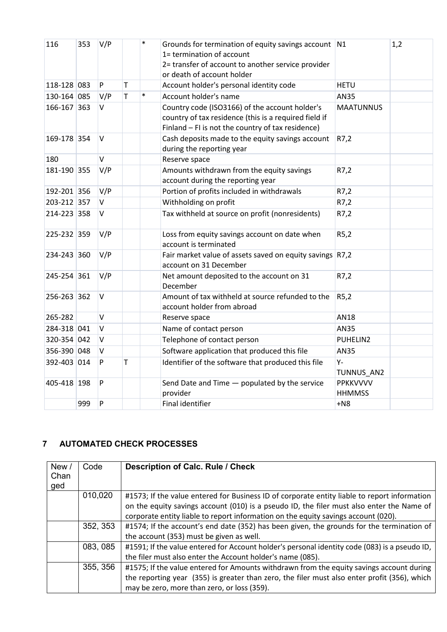| 116         | 353 | V/P    |             | $\ast$ | Grounds for termination of equity savings account N1<br>1= termination of account<br>2= transfer of account to another service provider<br>or death of account holder |                           | 1,2 |
|-------------|-----|--------|-------------|--------|-----------------------------------------------------------------------------------------------------------------------------------------------------------------------|---------------------------|-----|
| 118-128 083 |     | P      | $\mathsf T$ |        | Account holder's personal identity code                                                                                                                               | <b>HETU</b>               |     |
| 130-164 085 |     | V/P    | $\mathsf T$ | $\ast$ | Account holder's name                                                                                                                                                 | <b>AN35</b>               |     |
| 166-167 363 |     | $\vee$ |             |        | Country code (ISO3166) of the account holder's<br>country of tax residence (this is a required field if<br>Finland - FI is not the country of tax residence)          | <b>MAATUNNUS</b>          |     |
| 169-178 354 |     | V      |             |        | Cash deposits made to the equity savings account<br>during the reporting year                                                                                         | R7,2                      |     |
| 180         |     | V      |             |        | Reserve space                                                                                                                                                         |                           |     |
| 181-190 355 |     | V/P    |             |        | Amounts withdrawn from the equity savings<br>account during the reporting year                                                                                        | R7,2                      |     |
| 192-201 356 |     | V/P    |             |        | Portion of profits included in withdrawals                                                                                                                            | R7,2                      |     |
| 203-212 357 |     | V      |             |        | Withholding on profit                                                                                                                                                 | R7,2                      |     |
| 214-223 358 |     | V      |             |        | Tax withheld at source on profit (nonresidents)                                                                                                                       | R7,2                      |     |
| 225-232 359 |     | V/P    |             |        | Loss from equity savings account on date when<br>account is terminated                                                                                                | R5,2                      |     |
| 234-243 360 |     | V/P    |             |        | Fair market value of assets saved on equity savings R7,2<br>account on 31 December                                                                                    |                           |     |
| 245-254 361 |     | V/P    |             |        | Net amount deposited to the account on 31<br>December                                                                                                                 | R7,2                      |     |
| 256-263 362 |     | $\vee$ |             |        | Amount of tax withheld at source refunded to the<br>account holder from abroad                                                                                        | R5,2                      |     |
| 265-282     |     | $\vee$ |             |        | Reserve space                                                                                                                                                         | <b>AN18</b>               |     |
| 284-318 041 |     | $\vee$ |             |        | Name of contact person                                                                                                                                                | <b>AN35</b>               |     |
| 320-354 042 |     | $\vee$ |             |        | Telephone of contact person                                                                                                                                           | PUHELIN2                  |     |
| 356-390 048 |     | V      |             |        | Software application that produced this file                                                                                                                          | <b>AN35</b>               |     |
| 392-403 014 |     | P      | т           |        | Identifier of the software that produced this file                                                                                                                    | Υ-<br>TUNNUS_AN2          |     |
| 405-418 198 |     | P      |             |        | Send Date and Time - populated by the service<br>provider                                                                                                             | PPKKVVVV<br><b>HHMMSS</b> |     |
|             | 999 | P      |             |        | <b>Final identifier</b>                                                                                                                                               | $+NS$                     |     |

### <span id="page-3-0"></span>**7 AUTOMATED CHECK PROCESSES**

| New/ | Code     | <b>Description of Calc. Rule / Check</b>                                                      |
|------|----------|-----------------------------------------------------------------------------------------------|
| Chan |          |                                                                                               |
| ged  |          |                                                                                               |
|      | 010,020  | #1573; If the value entered for Business ID of corporate entity liable to report information  |
|      |          | on the equity savings account (010) is a pseudo ID, the filer must also enter the Name of     |
|      |          | corporate entity liable to report information on the equity savings account (020).            |
|      | 352, 353 | #1574; If the account's end date (352) has been given, the grounds for the termination of     |
|      |          | the account (353) must be given as well.                                                      |
|      | 083, 085 | #1591; If the value entered for Account holder's personal identity code (083) is a pseudo ID, |
|      |          | the filer must also enter the Account holder's name (085).                                    |
|      | 355, 356 | #1575; If the value entered for Amounts withdrawn from the equity savings account during      |
|      |          | the reporting year (355) is greater than zero, the filer must also enter profit (356), which  |
|      |          | may be zero, more than zero, or loss (359).                                                   |